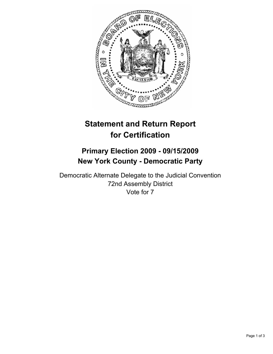

## **Statement and Return Report for Certification**

## **Primary Election 2009 - 09/15/2009 New York County - Democratic Party**

Democratic Alternate Delegate to the Judicial Convention 72nd Assembly District Vote for 7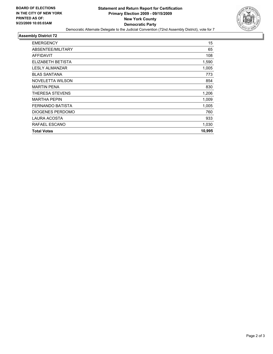

## **Assembly District 72**

| <b>EMERGENCY</b>        | 15     |
|-------------------------|--------|
| ABSENTEE/MILITARY       | 65     |
| AFFIDAVIT               | 108    |
| ELIZABETH BETISTA       | 1,590  |
| LESLY ALMANZAR          | 1,005  |
| <b>BLAS SANTANA</b>     | 773    |
| <b>NOVELETTA WILSON</b> | 854    |
| <b>MARTIN PENA</b>      | 830    |
| THERESA STEVENS         | 1,206  |
| <b>MARTHA PEPIN</b>     | 1,009  |
| FERNANDO BATISTA        | 1,005  |
| <b>DIOGENES PERDOMO</b> | 760    |
| LAURA ACOSTA            | 933    |
| RAFAEL ESCANO           | 1,030  |
| <b>Total Votes</b>      | 10,995 |